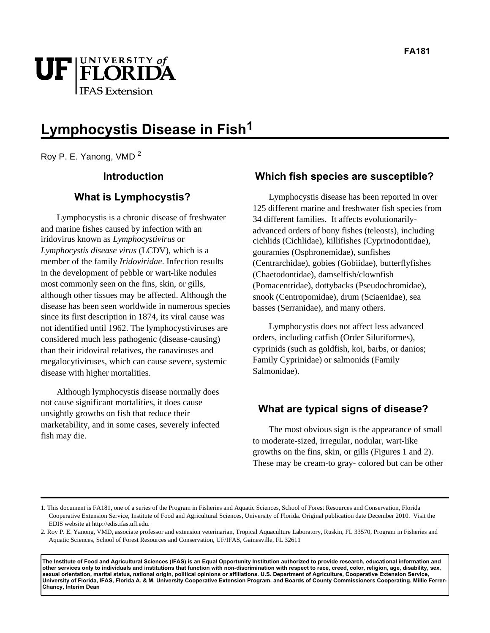

# **Lymphocystis Disease in Fish1**

Roy P. E. Yanong, VMD <sup>2</sup>

#### **Introduction**

#### **What is Lymphocystis?**

Lymphocystis is a chronic disease of freshwater and marine fishes caused by infection with an iridovirus known as *Lymphocystivirus* or *Lymphocystis disease virus* (LCDV), which is a member of the family *Iridoviridae*. Infection results in the development of pebble or wart-like nodules most commonly seen on the fins, skin, or gills, although other tissues may be affected. Although the disease has been seen worldwide in numerous species since its first description in 1874, its viral cause was not identified until 1962. The lymphocystiviruses are considered much less pathogenic (disease-causing) than their iridoviral relatives, the ranaviruses and megalocytiviruses, which can cause severe, systemic disease with higher mortalities.

Although lymphocystis disease normally does not cause significant mortalities, it does cause unsightly growths on fish that reduce their marketability, and in some cases, severely infected fish may die.

#### **Which fish species are susceptible?**

Lymphocystis disease has been reported in over 125 different marine and freshwater fish species from 34 different families. It affects evolutionarilyadvanced orders of bony fishes (teleosts), including cichlids (Cichlidae), killifishes (Cyprinodontidae), gouramies (Osphronemidae), sunfishes (Centrarchidae), gobies (Gobiidae), butterflyfishes (Chaetodontidae), damselfish/clownfish (Pomacentridae), dottybacks (Pseudochromidae), snook (Centropomidae), drum (Sciaenidae), sea basses (Serranidae), and many others.

Lymphocystis does not affect less advanced orders, including catfish (Order Siluriformes), cyprinids (such as goldfish, koi, barbs, or danios; Family Cyprinidae) or salmonids (Family Salmonidae).

#### **What are typical signs of disease?**

The most obvious sign is the appearance of small to moderate-sized, irregular, nodular, wart-like growths on the fins, skin, or gills (Figures 1 and 2). These may be cream-to gray- colored but can be other

**The Institute of Food and Agricultural Sciences (IFAS) is an Equal Opportunity Institution authorized to provide research, educational information and other services only to individuals and institutions that function with non-discrimination with respect to race, creed, color, religion, age, disability, sex, sexual orientation, marital status, national origin, political opinions or affiliations. U.S. Department of Agriculture, Cooperative Extension Service, University of Florida, IFAS, Florida A. & M. University Cooperative Extension Program, and Boards of County Commissioners Cooperating. Millie Ferrer-Chancy, Interim Dean**

<sup>1.</sup> This document is FA181, one of a series of the Program in Fisheries and Aquatic Sciences, School of Forest Resources and Conservation, Florida Cooperative Extension Service, Institute of Food and Agricultural Sciences, University of Florida. Original publication date December 2010. Visit the EDIS website at http://edis.ifas.ufl.edu.

<sup>2.</sup> Roy P. E. Yanong, VMD, associate professor and extension veterinarian, Tropical Aquaculture Laboratory, Ruskin, FL 33570, Program in Fisheries and Aquatic Sciences, School of Forest Resources and Conservation, UF/IFAS, Gainesville, FL 32611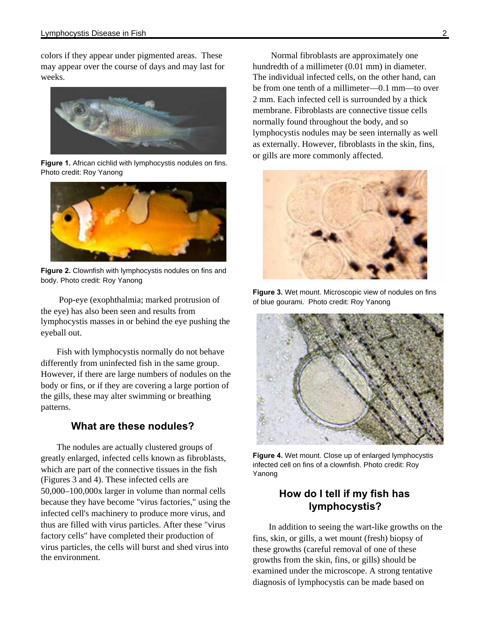colors if they appear under pigmented areas. These may appear over the course of days and may last for weeks.



**Figure 1.** African cichlid with lymphocystis nodules on fins. Photo credit: Roy Yanong



**Figure 2.** Clownfish with lymphocystis nodules on fins and body. Photo credit: Roy Yanong

 Pop-eye (exophthalmia; marked protrusion of the eye) has also been seen and results from lymphocystis masses in or behind the eye pushing the eyeball out.

Fish with lymphocystis normally do not behave differently from uninfected fish in the same group. However, if there are large numbers of nodules on the body or fins, or if they are covering a large portion of the gills, these may alter swimming or breathing patterns.

#### **What are these nodules?**

The nodules are actually clustered groups of greatly enlarged, infected cells known as fibroblasts, which are part of the connective tissues in the fish (Figures 3 and 4). These infected cells are 50,000–100,000x larger in volume than normal cells because they have become "virus factories," using the infected cell's machinery to produce more virus, and thus are filled with virus particles. After these "virus factory cells" have completed their production of virus particles, the cells will burst and shed virus into the environment.

 Normal fibroblasts are approximately one hundredth of a millimeter (0.01 mm) in diameter. The individual infected cells, on the other hand, can be from one tenth of a millimeter—0.1 mm—to over 2 mm. Each infected cell is surrounded by a thick membrane. Fibroblasts are connective tissue cells normally found throughout the body, and so lymphocystis nodules may be seen internally as well as externally. However, fibroblasts in the skin, fins, or gills are more commonly affected.



**Figure 3.** Wet mount. Microscopic view of nodules on fins of blue gourami. Photo credit: Roy Yanong



**Figure 4.** Wet mount. Close up of enlarged lymphocystis infected cell on fins of a clownfish. Photo credit: Roy Yanong

## **How do I tell if my fish has lymphocystis?**

In addition to seeing the wart-like growths on the fins, skin, or gills, a wet mount (fresh) biopsy of these growths (careful removal of one of these growths from the skin, fins, or gills) should be examined under the microscope. A strong tentative diagnosis of lymphocystis can be made based on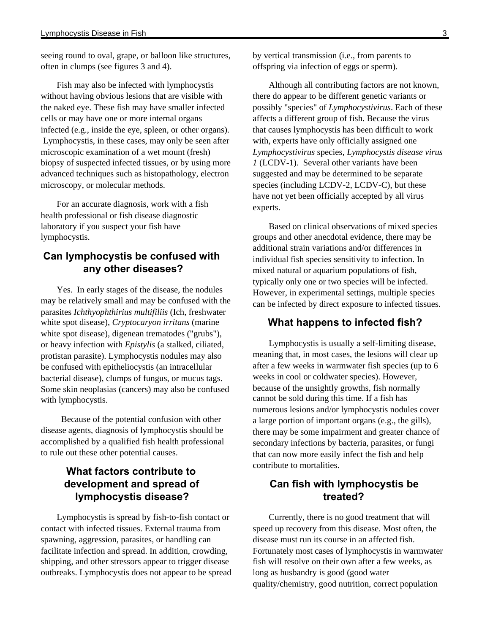seeing round to oval, grape, or balloon like structures, often in clumps (see figures 3 and 4).

Fish may also be infected with lymphocystis without having obvious lesions that are visible with the naked eye. These fish may have smaller infected cells or may have one or more internal organs infected (e.g., inside the eye, spleen, or other organs). Lymphocystis, in these cases, may only be seen after microscopic examination of a wet mount (fresh) biopsy of suspected infected tissues, or by using more advanced techniques such as histopathology, electron microscopy, or molecular methods.

For an accurate diagnosis, work with a fish health professional or fish disease diagnostic laboratory if you suspect your fish have lymphocystis.

## **Can lymphocystis be confused with any other diseases?**

Yes. In early stages of the disease, the nodules may be relatively small and may be confused with the parasites *Ichthyophthirius multifiliis* (Ich, freshwater white spot disease), *Cryptocaryon irritans* (marine white spot disease), digenean trematodes ("grubs"), or heavy infection with *Epistylis* (a stalked, ciliated, protistan parasite). Lymphocystis nodules may also be confused with epitheliocystis (an intracellular bacterial disease), clumps of fungus, or mucus tags. Some skin neoplasias (cancers) may also be confused with lymphocystis.

 Because of the potential confusion with other disease agents, diagnosis of lymphocystis should be accomplished by a qualified fish health professional to rule out these other potential causes.

## **What factors contribute to development and spread of lymphocystis disease?**

Lymphocystis is spread by fish-to-fish contact or contact with infected tissues. External trauma from spawning, aggression, parasites, or handling can facilitate infection and spread. In addition, crowding, shipping, and other stressors appear to trigger disease outbreaks. Lymphocystis does not appear to be spread by vertical transmission (i.e., from parents to offspring via infection of eggs or sperm).

Although all contributing factors are not known, there do appear to be different genetic variants or possibly "species" of *Lymphocystivirus*. Each of these affects a different group of fish. Because the virus that causes lymphocystis has been difficult to work with, experts have only officially assigned one *Lymphocystivirus* species, *Lymphocystis disease virus 1* (LCDV-1). Several other variants have been suggested and may be determined to be separate species (including LCDV-2, LCDV-C), but these have not yet been officially accepted by all virus experts.

Based on clinical observations of mixed species groups and other anecdotal evidence, there may be additional strain variations and/or differences in individual fish species sensitivity to infection. In mixed natural or aquarium populations of fish, typically only one or two species will be infected. However, in experimental settings, multiple species can be infected by direct exposure to infected tissues.

#### **What happens to infected fish?**

Lymphocystis is usually a self-limiting disease, meaning that, in most cases, the lesions will clear up after a few weeks in warmwater fish species (up to 6 weeks in cool or coldwater species). However, because of the unsightly growths, fish normally cannot be sold during this time. If a fish has numerous lesions and/or lymphocystis nodules cover a large portion of important organs (e.g., the gills), there may be some impairment and greater chance of secondary infections by bacteria, parasites, or fungi that can now more easily infect the fish and help contribute to mortalities.

## **Can fish with lymphocystis be treated?**

Currently, there is no good treatment that will speed up recovery from this disease. Most often, the disease must run its course in an affected fish. Fortunately most cases of lymphocystis in warmwater fish will resolve on their own after a few weeks, as long as husbandry is good (good water quality/chemistry, good nutrition, correct population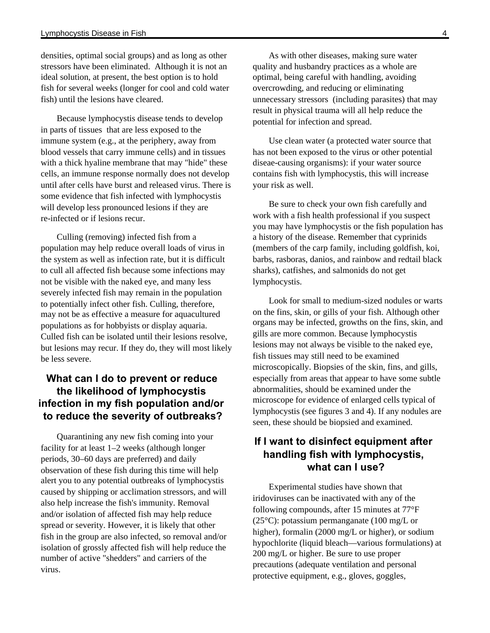densities, optimal social groups) and as long as other stressors have been eliminated. Although it is not an ideal solution, at present, the best option is to hold fish for several weeks (longer for cool and cold water fish) until the lesions have cleared.

Because lymphocystis disease tends to develop in parts of tissues that are less exposed to the immune system (e.g., at the periphery, away from blood vessels that carry immune cells) and in tissues with a thick hyaline membrane that may "hide" these cells, an immune response normally does not develop until after cells have burst and released virus. There is some evidence that fish infected with lymphocystis will develop less pronounced lesions if they are re-infected or if lesions recur.

Culling (removing) infected fish from a population may help reduce overall loads of virus in the system as well as infection rate, but it is difficult to cull all affected fish because some infections may not be visible with the naked eye, and many less severely infected fish may remain in the population to potentially infect other fish. Culling, therefore, may not be as effective a measure for aquacultured populations as for hobbyists or display aquaria. Culled fish can be isolated until their lesions resolve, but lesions may recur. If they do, they will most likely be less severe.

## **What can I do to prevent or reduce the likelihood of lymphocystis infection in my fish population and/or to reduce the severity of outbreaks?**

Quarantining any new fish coming into your facility for at least 1–2 weeks (although longer periods, 30–60 days are preferred) and daily observation of these fish during this time will help alert you to any potential outbreaks of lymphocystis caused by shipping or acclimation stressors, and will also help increase the fish's immunity. Removal and/or isolation of affected fish may help reduce spread or severity. However, it is likely that other fish in the group are also infected, so removal and/or isolation of grossly affected fish will help reduce the number of active "shedders" and carriers of the virus.

As with other diseases, making sure water quality and husbandry practices as a whole are optimal, being careful with handling, avoiding overcrowding, and reducing or eliminating unnecessary stressors (including parasites) that may result in physical trauma will all help reduce the potential for infection and spread.

Use clean water (a protected water source that has not been exposed to the virus or other potential diseae-causing organisms): if your water source contains fish with lymphocystis, this will increase your risk as well.

Be sure to check your own fish carefully and work with a fish health professional if you suspect you may have lymphocystis or the fish population has a history of the disease. Remember that cyprinids (members of the carp family, including goldfish, koi, barbs, rasboras, danios, and rainbow and redtail black sharks), catfishes, and salmonids do not get lymphocystis.

Look for small to medium-sized nodules or warts on the fins, skin, or gills of your fish. Although other organs may be infected, growths on the fins, skin, and gills are more common. Because lymphocystis lesions may not always be visible to the naked eye, fish tissues may still need to be examined microscopically. Biopsies of the skin, fins, and gills, especially from areas that appear to have some subtle abnormalities, should be examined under the microscope for evidence of enlarged cells typical of lymphocystis (see figures 3 and 4). If any nodules are seen, these should be biopsied and examined.

## **If I want to disinfect equipment after handling fish with lymphocystis, what can I use?**

Experimental studies have shown that iridoviruses can be inactivated with any of the following compounds, after 15 minutes at 77°F (25°C): potassium permanganate (100 mg/L or higher), formalin (2000 mg/L or higher), or sodium hypochlorite (liquid bleach—various formulations) at 200 mg/L or higher. Be sure to use proper precautions (adequate ventilation and personal protective equipment, e.g., gloves, goggles,